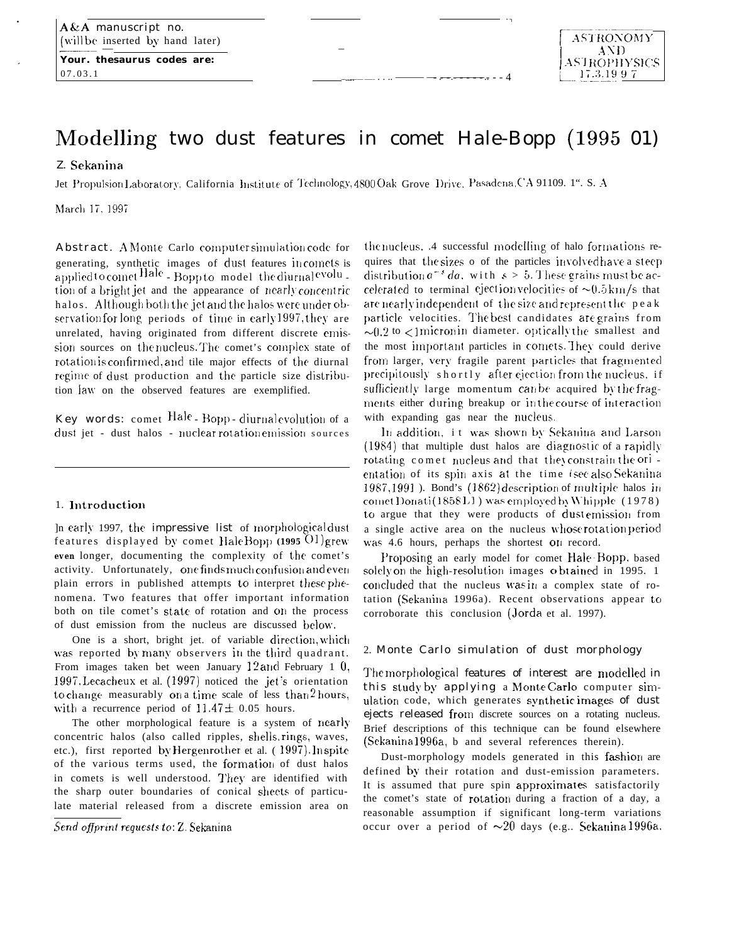Your. thesaurus codes are: 07.03.1

# Modelling two dust features in comet Hale-Bopp (1995 01)

## Z. Sekanina

Jet Propulsion Laboratory, California Institute of Technology, 4800 Oak Grove Drive, Pasadena, CA 91109. 1". S. A

March 17, 1997

Abstract. A Monte Carlo computer simulation code for generating, synthetic images of dust features incomets is applied to comet Hale - Bopp to model the diurnal evolu tion of a bright jet and the appearance of nearly concentric halos. Although both the jet and the halos were under observation for long periods of time in early 1997, they are unrelated, having originated from different discrete emission sources on the nucleus. The comet's complex state of rotation is confirmed, and tile major effects of the diurnal regime of dust production and the particle size distribution law on the observed features are exemplified.

Key words: comet Hale - Bopp - diurnal evolution of a dust jet - dust halos - nuclear rotation emission sources

#### 1. Introduction

In early 1997, the impressive list of morphological dust features displayed by comet HaleBopp (1995 O1) grew even longer, documenting the complexity of the comet's activity. Unfortunately, one finds much confusion and even plain errors in published attempts to interpret these phenomena. Two features that offer important information both on tile comet's state of rotation and on the process of dust emission from the nucleus are discussed below.

One is a short, bright jet. of variable direction, which was reported by many observers in the third quadrant. From images taken bet ween January 12 and February 1 0, 1997. Lecacheux et al. (1997) noticed the jet's orientation to change measurably on a time scale of less than  $2$  hours, with a recurrence period of  $11.47 \pm 0.05$  hours.

The other morphological feature is a system of nearly concentric halos (also called ripples, shells, rings, waves, etc.), first reported by Hergenrother et al. (1997). Inspite of the various terms used, the formation of dust halos in comets is well understood. They are identified with the sharp outer boundaries of conical sheets of particulate material released from a discrete emission area on

Send offprint requests to: Z. Sekanina

the nucleus. A successful modelling of halo formations requires that the sizes o of the particles involved have a steep distribution  $a^{-s} da$ , with  $s > 5$ . These grains must be accelerated to terminal ejection velocities of  $\sim 0.5 \text{ km/s}$  that are nearly independent of the size and represent the peak particle velocities. The best candidates are grains from  $\sim 0.2$  to  $\lt$ 1 micronin diameter. optically the smallest and the most important particles in comets. They could derive from larger, very fragile parent particles that fragmented precipitously shortly after ejection from the nucleus, if sufficiently large momentum can be acquired by the fragments either during breakup or in the course of interaction with expanding gas near the nucleus.

In addition, it was shown by Sekanina and Larson (1984) that multiple dust halos are diagnostic of a rapidly rotating comet nucleus and that they constrain the ori entation of its spin axis at the time (see also Sekanina 1987,1991). Bond's (1862) description of multiple halos in comet Donati (1858 L1) was employed by Whipple (1978) to argue that they were products of dust emission from a single active area on the nucleus whose rotation period was 4.6 hours, perhaps the shortest on record.

Proposing an early model for comet Hale-Bopp, based solely on the high-resolution images obtained in 1995. 1 concluded that the nucleus was in a complex state of rotation (Sekanina 1996a). Recent observations appear to corroborate this conclusion (Jorda et al. 1997).

### 2. Monte Carlo simulation of dust morphology

The morphological features of interest are modelled in this study by applying a Monte Carlo computer simulation code, which generates synthetic images of dust ejects released from discrete sources on a rotating nucleus. Brief descriptions of this technique can be found elsewhere (Sekanina 1996a, b and several references therein).

Dust-morphology models generated in this fashion are defined by their rotation and dust-emission parameters. It is assumed that pure spin approximates satisfactorily the comet's state of rotation during a fraction of a day, a reasonable assumption if significant long-term variations occur over a period of  $\sim 20$  days (e.g., Sekanina 1996a,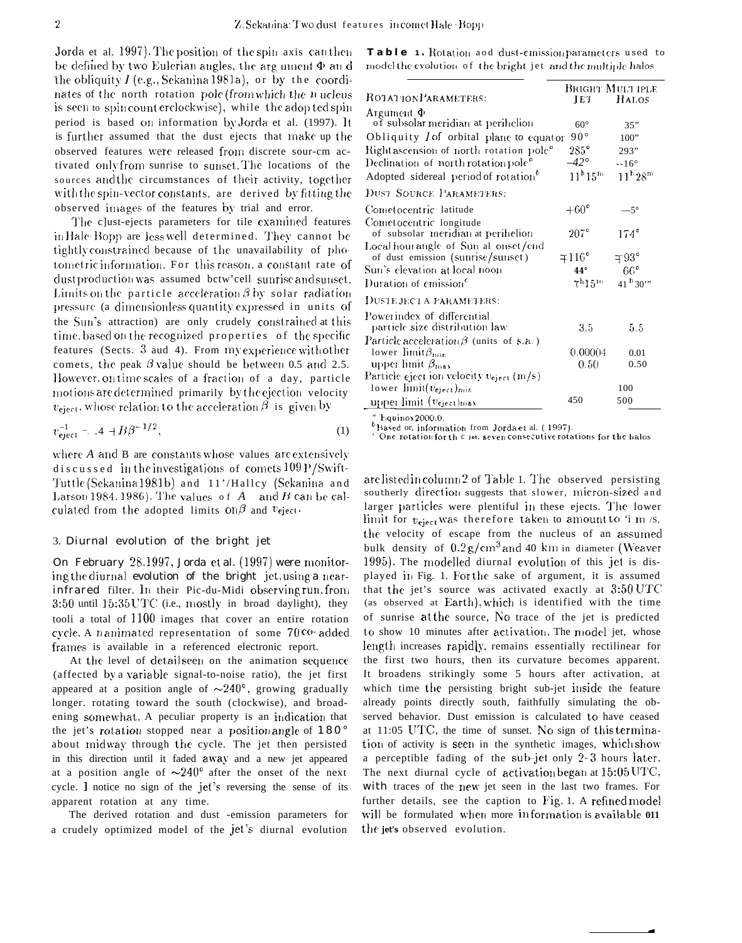Jorda et al. 1997). The position of the spin axis can then be defined by two Eulerian angles, the argument  $\Phi$  and the obliquity  $I$  (e.g., Sekanina 1981a), or by the coordinates of the north rotation pole (from which the nucleus is seen to spin count erclockwise), while the adop ted spin period is based on information by Jorda et al. (1997). It is further assumed that the dust ejects that make up the observed features were released from discrete sour-cm activated only from sunrise to sunset. The locations of the sources and the circumstances of their activity, together with the spin-vector constants, are derived by fitting the observed images of the features by trial and error.

The clust-ejects parameters for tile examined features in Hale Bopp are less well determined. They cannot be tightly constrained because of the unavailability of photometric information. For this reason, a constant rate of dust production was assumed betw'cell sunrise and sunset. Limits on the particle acceleration  $\beta$  by solar radiation pressure (a dimensionless quantity expressed in units of the Sun's attraction) are only crudely constrained at this time, based on the recognized properties of the specific features (Sects. 3 aud 4). From my experience with other comets, the peak  $\beta$  value should be between 0.5 and 2.5. However on time scales of a fraction of a day, particle motions are determined primarily by the ejection velocity  $v_{\text{eject}}$ , whose relation to the acceleration  $\beta$  is given by

$$
v_{\text{eject}}^{-1} = .4 + B\beta^{-1/2},\tag{1}
$$

where A and B are constants whose values are extensively discussed in the investigations of comets 109 P/Swift-Tuttle (Sekanina 1981b) and 11'/Halley (Sekanina and Larson 1984. 1986). The values of  $A$  and  $B$  can be calculated from the adopted limits on  $\beta$  and  $v_{\text{eject}}$ .

### 3. Diurnal evolution of the bright jet

On February 28.1997, Jorda et al. (1997) were monitoring the diurnal evolution of the bright jet, using a nearinfrared filter. In their Pic-du-Midi observing run, from 3:50 until 15:35 UTC (i.e., mostly in broad daylight), they tooli a total of 1100 images that cover an entire rotation cycle. A nanimated representation of some 70 co-added frames is available in a referenced electronic report.

At the level of detailseen on the animation sequence (affected by a variable signal-to-noise ratio), the jet first appeared at a position angle of  $\sim$ 240°, growing gradually longer. rotating toward the south (clockwise), and broadening somewhat. A peculiar property is an indication that the jet's rotation stopped near a position angle of  $180^\circ$ about midway through the cycle. The jet then persisted in this direction until it faded away and a new jet appeared at a position angle of  $\sim$ 240° after the onset of the next cycle. I notice no sign of the jet's reversing the sense of its apparent rotation at any time.

The derived rotation and dust -emission parameters for a crudely optimized model of the jet's diurnal evolution

| <b>Table</b> 1. Rotation aod dust-emission parameters used to |  |  |  |  |  |
|---------------------------------------------------------------|--|--|--|--|--|
| model the evolution of the bright jet and the multiple halos. |  |  |  |  |  |

|                                                                             |                                | <b>BRIGHT MULT IPLE</b>        |  |  |
|-----------------------------------------------------------------------------|--------------------------------|--------------------------------|--|--|
| ROTATION PARAMETERS:                                                        | JET                            | H <sub>ALOS</sub>              |  |  |
| Argument $\Phi$<br>of subsolar meridian at perihelion                       | $60^\circ$                     | 35"                            |  |  |
| Obliquity $I$ of orbital plane to equator                                   | $90^{\circ}$                   | 100"                           |  |  |
| Rightascension of north rotation pole <sup>o</sup>                          | $285^{\circ}$                  | 293"                           |  |  |
| Declination of north rotation pole <sup>o</sup>                             | $-42^{\circ}$                  | $-16^\circ$                    |  |  |
| Adopted sidereal period of rotation <sup>b</sup>                            | $11^{\rm h}15^{\rm m}$         | $11^{\rm h}28^{\rm m}$         |  |  |
| DUST SOURCE PARAMETERS:                                                     |                                |                                |  |  |
| Cometocentric latitude                                                      | $+60^{\circ}$                  | $.5^{\circ}$                   |  |  |
| Cometocentric longitude<br>of subsolar meridian at perihelion               | $207^\circ$                    | $174^\circ$                    |  |  |
| Local hour angle of Sun al onset/end<br>of dust emission (sunrise/sunset)   | $\mp 116^{\circ}$              | $+93^\circ$                    |  |  |
| Sun's elevation at local noon                                               | 44°                            | $66^{\circ}$                   |  |  |
| Duration of emission <sup>c</sup>                                           | 7 <sup>h</sup> 15 <sup>m</sup> | $41^{\text{h}} 30^{\text{th}}$ |  |  |
| DUSTE JECT A PARAMETERS:                                                    |                                |                                |  |  |
| Powerindex of differential<br>particle size distribution law                | $3.5\,$                        | 5.5                            |  |  |
| Particle acceleration $\beta$ (units of s.a.)<br>lower limit $\beta_{\min}$ | 0.00004                        | 0.01                           |  |  |
| upper limit $\beta_{\text{max}}$                                            | $0.50\,$                       | 0.50                           |  |  |
| Particle eject ion velocity veject (m/s)                                    |                                |                                |  |  |
| lower $\text{limit}(v_{\text{eject}})_{\text{min}}$                         |                                | 100                            |  |  |
| upper limit $(v_{eject})_{max}$                                             | 450                            | 500                            |  |  |
| <b><i>ALAN ADDRESS</i></b>                                                  |                                |                                |  |  |

Equinox 2000.0.

 $<sup>b</sup>$  Rased or, information from Jorda et al. (1997).</sup> One rotation for the c jet, seven consecutive rotations for the halos

are listed in column 2 of Table 1. The observed persisting southerly direction suggests that slower, micron-sized and larger particles were plentiful in these ejects. The lower limit for  $v_{\text{eject}}$  was therefore taken to amount to 'i m/s, the velocity of escape from the nucleus of an assumed bulk density of  $0.2 g/cm^3$  and 40 km in diameter (Weaver 1995). The modelled diurnal evolution of this jet is displayed in Fig. 1. For the sake of argument, it is assumed that the jet's source was activated exactly at  $3:50$  UTC (as observed at Earth), which is identified with the time of sunrise at the source, No trace of the jet is predicted to show 10 minutes after activation. The model jet, whose length increases rapidly, remains essentially rectilinear for the first two hours, then its curvature becomes apparent. It broadens strikingly some 5 hours after activation, at which time the persisting bright sub-jet inside the feature already points directly south, faithfully simulating the observed behavior. Dust emission is calculated to have ceased at 11:05 UTC, the time of sunset. No sign of this termination of activity is seen in the synthetic images, which show a perceptible fading of the sub-jet only 2-3 hours later. The next diurnal cycle of activation began at 15:05 UTC, with traces of the new jet seen in the last two frames. For further details, see the caption to Fig. 1. A refined model will be formulated when more information is available 011 the jet's observed evolution.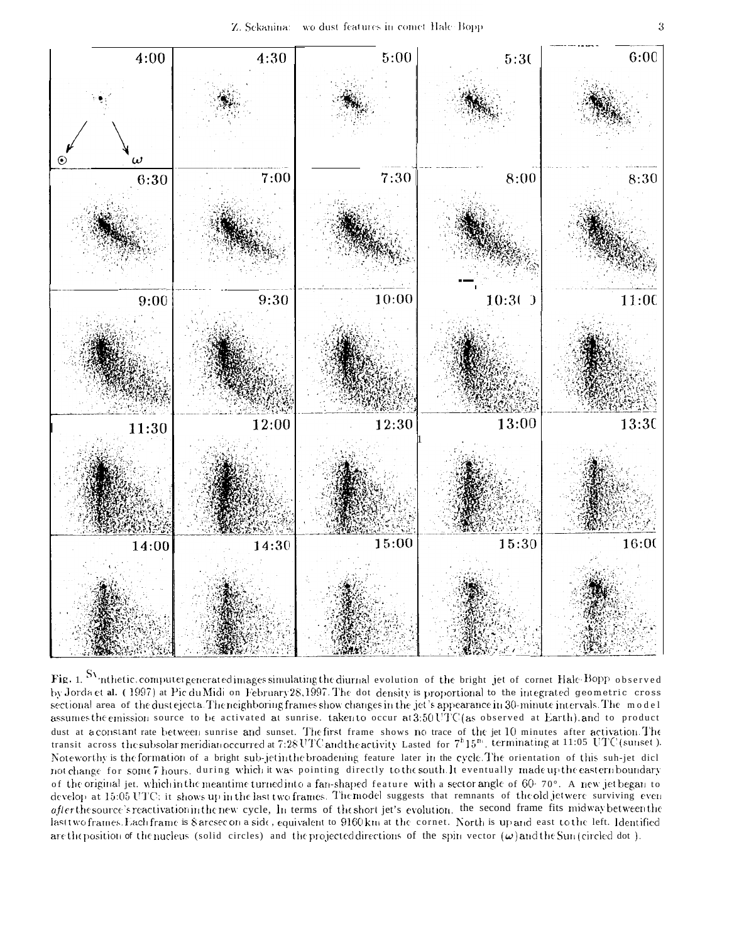

Fig. 1. SV inthetic, computer generated images simulating the diurnal evolution of the bright jet of cornet Hale-Bopp observed by Jorda et al. (1997) at Pic du Midi on February 28, 1997. The dot density is proportional to the integrated geometric cross sectional area of the dust ejecta. The neighboring frames show changes in the jet's appearance in 30-minute intervals. The model assumes the emission source to be activated at sunrise, taken to occur at 3:50 UTC (as observed at Earth), and to product dust at a constant rate between sunrise and sunset. The first frame shows no trace of the jet 10 minutes after activation. The transit across the subsolar meridian occurred at 7:28 UTC and the activity Lasted for  $7^h15^{n_1}$ , terminating at 11:05 UTC (sunset). Noteworthy is the formation of a bright sub-jet in the broadening feature later in the cycle. The orientation of this sub-jet dicl not change for some 7 hours, during which it was pointing directly to the south. It eventually made up the eastern boundary of the original jet. which in the meantime turned into a fan-shaped feature with a sector angle of 60-70°. A new jet began to develop at 15:05 UTC; it shows up in the last two frames. The model suggests that remnants of the old jet were surviving even after the source's reactivation in the new cycle, In terms of the short jet's evolution, the second frame fits midway between the lasttwo frames. Each frame is 8 arcsec on a side, equivalent to 9160 km at the cornet. North is up and east to the left. Identified are the position of the nucleus (solid circles) and the projected directions of the spin vector  $(\omega)$  and the Sun(circled dot).